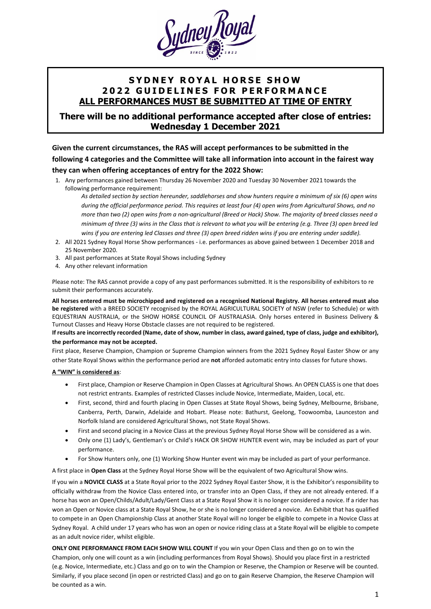

# **S Y D N E Y R O Y A L H O R S E S H O W 202 2 G U I D E L I N E S F O R P E R F O R M A N C E ALL PERFORMANCES MUST BE SUBMITTED AT TIME OF ENTRY**

## **There will be no additional performance accepted after close of entries: Wednesday 1 December 2021**

**Given the current circumstances, the RAS will accept performances to be submitted in the following 4 categories and the Committee will take all information into account in the fairest way they can when offering acceptances of entry for the 2022 Show:**

1. Any performances gained between Thursday 26 November 2020 and Tuesday 30 November 2021 towards the following performance requirement:

*As detailed section by section hereunder, saddlehorses and show hunters require a minimum of six (6) open wins during the official performance period. This requires at least four (4) open wins from Agricultural Shows, and no more than two (2) open wins from a non-agricultural (Breed or Hack) Show. The majority of breed classes need a minimum of three (3) wins in the Class that is relevant to what you will be entering (e.g. Three (3) open breed led wins if you are entering led Classes and three (3) open breed ridden wins if you are entering under saddle).*

- 2. All 2021 Sydney Royal Horse Show performances i.e. performances as above gained between 1 December 2018 and 25 November 2020.
- 3. All past performances at State Royal Shows including Sydney
- 4. Any other relevant information

Please note: The RAS cannot provide a copy of any past performances submitted. It is the responsibility of exhibitors to re submit their performances accurately.

**All horses entered must be microchipped and registered on a recognised National Registry. All horses entered must also be registered** with a BREED SOCIETY recognised by the ROYAL AGRICULTURAL SOCIETY of NSW (refer to Schedule) or with EQUESTRIAN AUSTRALIA, or the SHOW HORSE COUNCIL OF AUSTRALASIA. Only horses entered in Business Delivery & Turnout Classes and Heavy Horse Obstacle classes are not required to be registered.

#### **If results are incorrectly recorded (Name, date of show, number in class, award gained, type of class, judge and exhibitor), the performance may not be accepted.**

First place, Reserve Champion, Champion or Supreme Champion winners from the 2021 Sydney Royal Easter Show or any other State Royal Shows within the performance period are **not** afforded automatic entry into classes for future shows.

#### **A "WIN" is considered as**:

- First place, Champion or Reserve Champion in Open Classes at Agricultural Shows. An OPEN CLASS is one that does not restrict entrants. Examples of restricted Classes include Novice, Intermediate, Maiden, Local, etc.
- First, second, third and fourth placing in Open Classes at State Royal Shows, being Sydney, Melbourne, Brisbane, Canberra, Perth, Darwin, Adelaide and Hobart. Please note: Bathurst, Geelong, Toowoomba, Launceston and Norfolk Island are considered Agricultural Shows, not State Royal Shows.
- First and second placing in a Novice Class at the previous Sydney Royal Horse Show will be considered as a win.
- Only one (1) Lady's, Gentleman's or Child's HACK OR SHOW HUNTER event win, may be included as part of your performance.
- For Show Hunters only, one (1) Working Show Hunter event win may be included as part of your performance.

A first place in **Open Class** at the Sydney Royal Horse Show will be the equivalent of two Agricultural Show wins.

If you win a **NOVICE CLASS** at a State Royal prior to the 2022 Sydney Royal Easter Show, it is the Exhibitor's responsibility to officially withdraw from the Novice Class entered into, or transfer into an Open Class, if they are not already entered. If a horse has won an Open/Childs/Adult/Lady/Gent Class at a State Royal Show it is no longer considered a novice. If a rider has won an Open or Novice class at a State Royal Show, he or she is no longer considered a novice. An Exhibit that has qualified to compete in an Open Championship Class at another State Royal will no longer be eligible to compete in a Novice Class at Sydney Royal. A child under 17 years who has won an open or novice riding class at a State Royal will be eligible to compete as an adult novice rider, whilst eligible.

**ONLY ONE PERFORMANCE FROM EACH SHOW WILL COUNT** If you win your Open Class and then go on to win the Champion, only one will count as a win (including performances from Royal Shows). Should you place first in a restricted (e.g. Novice, Intermediate, etc.) Class and go on to win the Champion or Reserve, the Champion or Reserve will be counted. Similarly, if you place second (in open or restricted Class) and go on to gain Reserve Champion, the Reserve Champion will be counted as a win.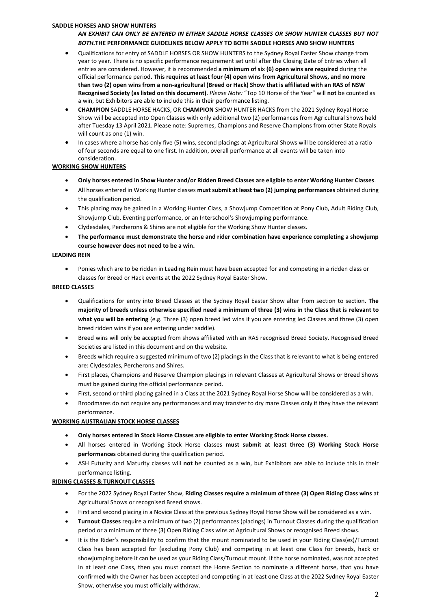#### **SADDLE HORSES AND SHOW HUNTERS**

## *AN EXHIBIT CAN ONLY BE ENTERED IN EITHER SADDLE HORSE CLASSES OR SHOW HUNTER CLASSES BUT NOT BOTH.***THE PERFORMANCE GUIDELINES BELOW APPLY TO BOTH SADDLE HORSES AND SHOW HUNTERS**

- Qualifications for entry of SADDLE HORSES OR SHOW HUNTERS to the Sydney Royal Easter Show change from year to year. There is no specific performance requirement set until after the Closing Date of Entries when all entries are considered. However, it is recommended **a minimum of six (6) open wins are required** during the official performance period**. This requires at least four (4) open wins from Agricultural Shows, and no more than two (2) open wins from a non-agricultural (Breed or Hack) Show that is affiliated with an RAS of NSW Recognised Society (as listed on this document)**. *Please Note:* "Top 10 Horse of the Year" will **not** be counted as a win, but Exhibitors are able to include this in their performance listing.
- **CHAMPION** SADDLE HORSE HACKS, OR **CHAMPION** SHOW HUNTER HACKS from the 2021 Sydney Royal Horse Show will be accepted into Open Classes with only additional two (2) performances from Agricultural Shows held after Tuesday 13 April 2021. Please note: Supremes, Champions and Reserve Champions from other State Royals will count as one (1) win.
- In cases where a horse has only five (5) wins, second placings at Agricultural Shows will be considered at a ratio of four seconds are equal to one first. In addition, overall performance at all events will be taken into consideration.

### **WORKING SHOW HUNTERS**

- **Only horses entered in Show Hunter and/or Ridden Breed Classes are eligible to enter Working Hunter Classes**.
- All horses entered in Working Hunter classes **must submit at least two (2) jumping performances** obtained during the qualification period.
- This placing may be gained in a Working Hunter Class, a Showjump Competition at Pony Club, Adult Riding Club, Showjump Club, Eventing performance, or an Interschool's Showjumping performance.
- Clydesdales, Percherons & Shires are not eligible for the Working Show Hunter classes.
- **The performance must demonstrate the horse and rider combination have experience completing a showjump course however does not need to be a win.**

#### **LEADING REIN**

• Ponies which are to be ridden in Leading Rein must have been accepted for and competing in a ridden class or classes for Breed or Hack events at the 2022 Sydney Royal Easter Show.

#### **BREED CLASSES**

- Qualifications for entry into Breed Classes at the Sydney Royal Easter Show alter from section to section. **The majority of breeds unless otherwise specified need a minimum of three (3) wins in the Class that is relevant to what you will be entering** (e.g. Three (3) open breed led wins if you are entering led Classes and three (3) open breed ridden wins if you are entering under saddle).
- Breed wins will only be accepted from shows affiliated with an RAS recognised Breed Society. Recognised Breed Societies are listed in this document and on the website.
- Breeds which require a suggested minimum of two (2) placings in the Class that is relevant to what is being entered are: Clydesdales, Percherons and Shires.
- First places, Champions and Reserve Champion placings in relevant Classes at Agricultural Shows or Breed Shows must be gained during the official performance period.
- First, second or third placing gained in a Class at the 2021 Sydney Royal Horse Show will be considered as a win.
- Broodmares do not require any performances and may transfer to dry mare Classes only if they have the relevant performance.

#### **WORKING AUSTRALIAN STOCK HORSE CLASSES**

- **Only horses entered in Stock Horse Classes are eligible to enter Working Stock Horse classes.**
- All horses entered in Working Stock Horse classes **must submit at least three (3) Working Stock Horse performances** obtained during the qualification period.
- ASH Futurity and Maturity classes will **not** be counted as a win, but Exhibitors are able to include this in their performance listing.

#### **RIDING CLASSES & TURNOUT CLASSES**

- For the 2022 Sydney Royal Easter Show, **Riding Classes require a minimum of three (3) Open Riding Class wins** at Agricultural Shows or recognised Breed shows.
- First and second placing in a Novice Class at the previous Sydney Royal Horse Show will be considered as a win.
- **Turnout Classes** require a minimum of two (2) performances (placings) in Turnout Classes during the qualification period or a minimum of three (3) Open Riding Class wins at Agricultural Shows or recognised Breed shows.
- It is the Rider's responsibility to confirm that the mount nominated to be used in your Riding Class(es)/Turnout Class has been accepted for (excluding Pony Club) and competing in at least one Class for breeds, hack or showjumping before it can be used as your Riding Class/Turnout mount. If the horse nominated, was not accepted in at least one Class, then you must contact the Horse Section to nominate a different horse, that you have confirmed with the Owner has been accepted and competing in at least one Class at the 2022 Sydney Royal Easter Show, otherwise you must officially withdraw.